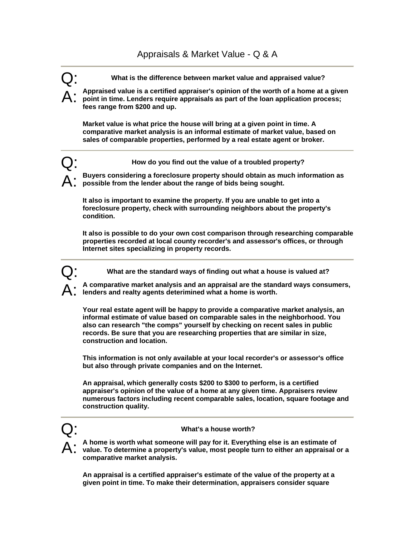## Appraisals & Market Value - Q & A

- Q: **What is the difference between market value and appraised value?**
- A: Appraised value is a certified appraiser's opinion of the worth of a home at a given <br>**A:** point in time. Lenders require appraisals as part of the loan application process; **fees range from \$200 and up.**

**Market value is what price the house will bring at a given point in time. A comparative market analysis is an informal estimate of market value, based on sales of comparable properties, performed by a real estate agent or broker.** 

- Q: **How do you find out the value of a troubled property?** 
	- A: **Buyers considering a foreclosure property should obtain as much information as possible from the lender about the range of bids being sought.**

**It also is important to examine the property. If you are unable to get into a foreclosure property, check with surrounding neighbors about the property's condition.** 

**It also is possible to do your own cost comparison through researching comparable properties recorded at local county recorder's and assessor's offices, or through Internet sites specializing in property records.** 

What are the standard ways of finding out what a house is valued at?

A: **A comparative market analysis and an appraisal are the standard ways consumers, lenders and realty agents deterimined what a home is worth.** 

**Your real estate agent will be happy to provide a comparative market analysis, an informal estimate of value based on comparable sales in the neighborhood. You also can research "the comps" yourself by checking on recent sales in public records. Be sure that you are researching properties that are similar in size, construction and location.** 

**This information is not only available at your local recorder's or assessor's office but also through private companies and on the Internet.** 

**An appraisal, which generally costs \$200 to \$300 to perform, is a certified appraiser's opinion of the value of a home at any given time. Appraisers review numerous factors including recent comparable sales, location, square footage and construction quality.** 



## Q: **What's a house worth?**

A: **A home is worth what someone will pay for it. Everything else is an estimate of value. To determine a property's value, most people turn to either an appraisal or a comparative market analysis.** 

**An appraisal is a certified appraiser's estimate of the value of the property at a given point in time. To make their determination, appraisers consider square**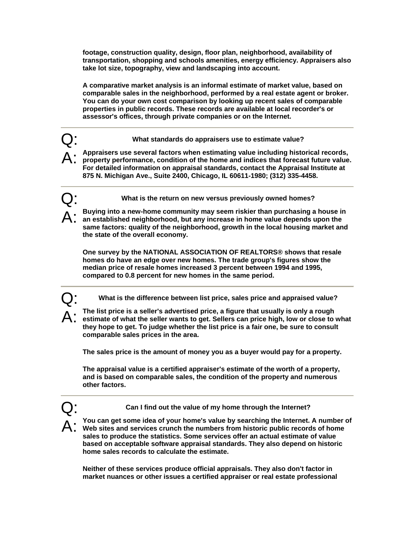**footage, construction quality, design, floor plan, neighborhood, availability of transportation, shopping and schools amenities, energy efficiency. Appraisers also take lot size, topography, view and landscaping into account.** 

**A comparative market analysis is an informal estimate of market value, based on comparable sales in the neighborhood, performed by a real estate agent or broker. You can do your own cost comparison by looking up recent sales of comparable properties in public records. These records are available at local recorder's or assessor's offices, through private companies or on the Internet.** 

Q: **What standards do appraisers use to estimate value?** 

A: **Appraisers use several factors when estimating value including historical records, property performance, condition of the home and indices that forecast future value. For detailed information on appraisal standards, contact the Appraisal Institute at 875 N. Michigan Ave., Suite 2400, Chicago, IL 60611-1980; (312) 335-4458.** 

Q: **What is the return on new versus previously owned homes?** 

A: **Buying into a new-home community may seem riskier than purchasing a house in an established neighborhood, but any increase in home value depends upon the same factors: quality of the neighborhood, growth in the local housing market and the state of the overall economy.** 

**One survey by the NATIONAL ASSOCIATION OF REALTORS® shows that resale homes do have an edge over new homes. The trade group's figures show the median price of resale homes increased 3 percent between 1994 and 1995, compared to 0.8 percent for new homes in the same period.** 

Q: **What is the difference between list price, sales price and appraised value?**

The list price is a seller's advertised price, a figure that usually is only a rough **estimate of what the seller wants to get. Sellers can price high, low or close to what they hope to get. To judge whether the list price is a fair one, be sure to consult comparable sales prices in the area.** 

**The sales price is the amount of money you as a buyer would pay for a property.** 

**The appraisal value is a certified appraiser's estimate of the worth of a property, and is based on comparable sales, the condition of the property and numerous other factors.** 

Can I find out the value of my home through the Internet?

A: **You can get some idea of your home's value by searching the Internet. A number of Web sites and services crunch the numbers from historic public records of home sales to produce the statistics. Some services offer an actual estimate of value based on acceptable software appraisal standards. They also depend on historic home sales records to calculate the estimate.** 

**Neither of these services produce official appraisals. They also don't factor in market nuances or other issues a certified appraiser or real estate professional**